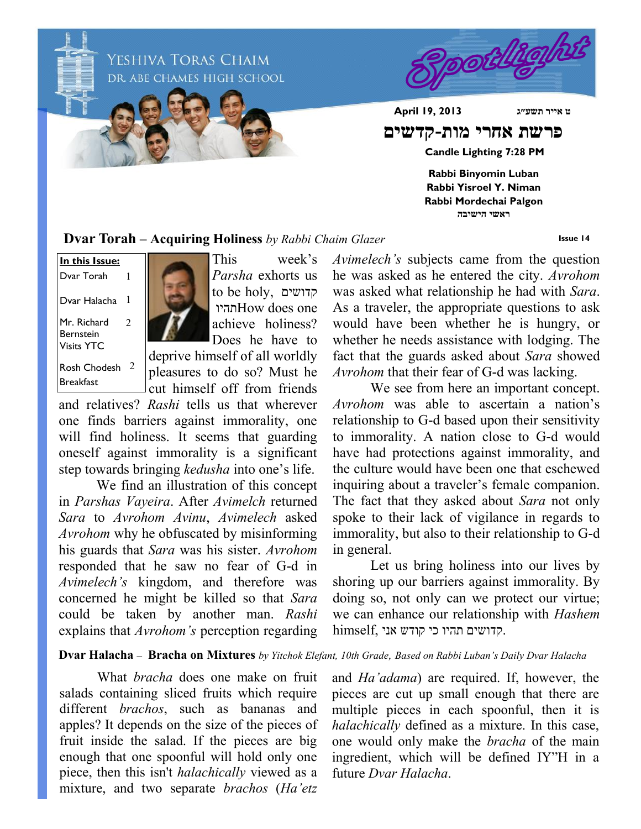

**Dvar Torah – Acquiring Holiness** *by Rabbi Chaim Glazer*

**Issue 14**

Mr. Richard Bernstein **In this Issue:** Dvar Torah Dvar Halacha 1

Visits YTC

Rosh Chodesh 2 Breakfast

2

1



This week's *Parsha* exhorts us to be holy, קדושים תהיוHow does one achieve holiness? Does he have to

deprive himself of all worldly pleasures to do so? Must he cut himself off from friends

and relatives? *Rashi* tells us that wherever one finds barriers against immorality, one will find holiness. It seems that guarding oneself against immorality is a significant step towards bringing *kedusha* into one's life.

We find an illustration of this concept in *Parshas Vayeira*. After *Avimelch* returned *Sara* to *Avrohom Avinu*, *Avimelech* asked *Avrohom* why he obfuscated by misinforming his guards that *Sara* was his sister. *Avrohom*  responded that he saw no fear of G-d in *Avimelech's* kingdom, and therefore was concerned he might be killed so that *Sara* could be taken by another man. *Rashi*  explains that *Avrohom's* perception regarding

*Avimelech's* subjects came from the question he was asked as he entered the city. *Avrohom*  was asked what relationship he had with *Sara*. As a traveler, the appropriate questions to ask would have been whether he is hungry, or whether he needs assistance with lodging. The fact that the guards asked about *Sara* showed *Avrohom* that their fear of G-d was lacking.

We see from here an important concept. *Avrohom* was able to ascertain a nation's relationship to G-d based upon their sensitivity to immorality. A nation close to G-d would have had protections against immorality, and the culture would have been one that eschewed inquiring about a traveler's female companion. The fact that they asked about *Sara* not only spoke to their lack of vigilance in regards to immorality, but also to their relationship to G-d in general.

Let us bring holiness into our lives by shoring up our barriers against immorality. By doing so, not only can we protect our virtue; we can enhance our relationship with *Hashem*  .קדושים תהיו כי קודש אני ,himself

#### **Dvar Halacha** – **Bracha on Mixtures** *by Yitchok Elefant, 10th Grade, Based on Rabbi Luban's Daily Dvar Halacha*

What *bracha* does one make on fruit salads containing sliced fruits which require different *brachos*, such as bananas and apples? It depends on the size of the pieces of fruit inside the salad. If the pieces are big enough that one spoonful will hold only one piece, then this isn't *halachically* viewed as a mixture, and two separate *brachos* (*Ha'etz* 

and *Ha'adama*) are required. If, however, the pieces are cut up small enough that there are multiple pieces in each spoonful, then it is *halachically* defined as a mixture. In this case, one would only make the *bracha* of the main ingredient, which will be defined IY"H in a future *Dvar Halacha*.